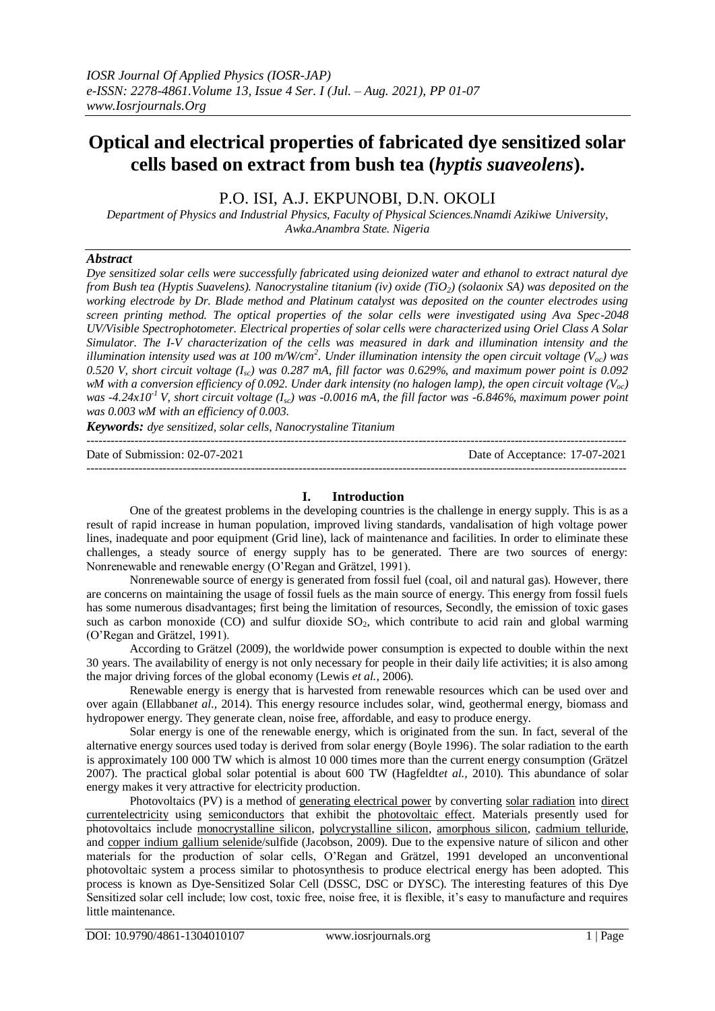# **Optical and electrical properties of fabricated dye sensitized solar cells based on extract from bush tea (***hyptis suaveolens***).**

P.O. ISI, A.J. EKPUNOBI, D.N. OKOLI

*Department of Physics and Industrial Physics, Faculty of Physical Sciences.Nnamdi Azikiwe University, Awka.Anambra State. Nigeria*

#### *Abstract*

*Dye sensitized solar cells were successfully fabricated using deionized water and ethanol to extract natural dye from Bush tea (Hyptis Suavelens). Nanocrystaline titanium (iv) oxide (TiO2) (solaonix SA) was deposited on the working electrode by Dr. Blade method and Platinum catalyst was deposited on the counter electrodes using screen printing method. The optical properties of the solar cells were investigated using Ava Spec-2048 UV/Visible Spectrophotometer. Electrical properties of solar cells were characterized using Oriel Class A Solar Simulator. The I-V characterization of the cells was measured in dark and illumination intensity and the illumination intensity used was at 100 m/W/cm<sup>2</sup> . Under illumination intensity the open circuit voltage (Voc) was 0.520 V, short circuit voltage (Isc) was 0.287 mA, fill factor was 0.629%, and maximum power point is 0.092 wM with a conversion efficiency of 0.092. Under dark intensity (no halogen lamp), the open circuit voltage (Voc) was -4.24x10-1 V, short circuit voltage (Isc) was -0.0016 mA, the fill factor was -6.846%, maximum power point was 0.003 wM with an efficiency of 0.003.* 

*Keywords: dye sensitized, solar cells, Nanocrystaline Titanium* 

| Date of Submission: $02-07-2021$ | Date of Acceptance: 17-07-2021 |
|----------------------------------|--------------------------------|
|                                  |                                |

## **I. Introduction**

One of the greatest problems in the developing countries is the challenge in energy supply. This is as a result of rapid increase in human population, improved living standards, vandalisation of high voltage power lines, inadequate and poor equipment (Grid line), lack of maintenance and facilities. In order to eliminate these challenges, a steady source of energy supply has to be generated. There are two sources of energy: Nonrenewable and renewable energy (O'Regan and Grätzel, 1991).

Nonrenewable source of energy is generated from fossil fuel (coal, oil and natural gas). However, there are concerns on maintaining the usage of fossil fuels as the main source of energy. This energy from fossil fuels has some numerous disadvantages; first being the limitation of resources, Secondly, the emission of toxic gases such as carbon monoxide  $(CO)$  and sulfur dioxide  $SO<sub>2</sub>$ , which contribute to acid rain and global warming (O'Regan and Grätzel, 1991).

According to Grätzel (2009), the worldwide power consumption is expected to double within the next 30 years. The availability of energy is not only necessary for people in their daily life activities; it is also among the major driving forces of the global economy (Lewis *et al.,* 2006).

Renewable energy is energy that is harvested from renewable resources which can be used over and over again (Ellabban*et al.,* 2014). This energy resource includes solar, wind, geothermal energy, biomass and hydropower energy. They generate clean, noise free, affordable, and easy to produce energy.

Solar energy is one of the renewable energy, which is originated from the sun. In fact, several of the alternative energy sources used today is derived from solar energy (Boyle 1996). The solar radiation to the earth is approximately 100 000 TW which is almost 10 000 times more than the current energy consumption (Grätzel 2007). The practical global solar potential is about 600 TW (Hagfeldt*et al.,* 2010). This abundance of solar energy makes it very attractive for electricity production.

Photovoltaics (PV) is a method of [generating electrical power](http://en.wikipedia.org/wiki/Electricity_generation) by converting [solar radiation](http://en.wikipedia.org/wiki/Solar_radiation) into [direct](http://en.wikipedia.org/wiki/Direct_current)  [currentelectricity](http://en.wikipedia.org/wiki/Direct_current) using [semiconductors](http://en.wikipedia.org/wiki/Semiconductor) that exhibit the [photovoltaic effect.](http://en.wikipedia.org/wiki/Photovoltaic_effect) Materials presently used for photovoltaics include [monocrystalline silicon,](http://en.wikipedia.org/wiki/Monocrystalline_silicon) [polycrystalline silicon,](http://en.wikipedia.org/wiki/Polycrystalline_silicon) [amorphous silicon,](http://en.wikipedia.org/wiki/Amorphous_silicon) [cadmium telluride,](http://en.wikipedia.org/wiki/Cadmium_telluride) and [copper indium gallium selenide/](http://en.wikipedia.org/wiki/Copper_indium_gallium_selenide)sulfide (Jacobson, 2009). Due to the expensive nature of silicon and other materials for the production of solar cells, O'Regan and Grätzel*,* 1991 developed an unconventional photovoltaic system a process similar to photosynthesis to produce electrical energy has been adopted. This process is known as Dye-Sensitized Solar Cell (DSSC, DSC or DYSC). The interesting features of this Dye Sensitized solar cell include; low cost, toxic free, noise free, it is flexible, it's easy to manufacture and requires little maintenance.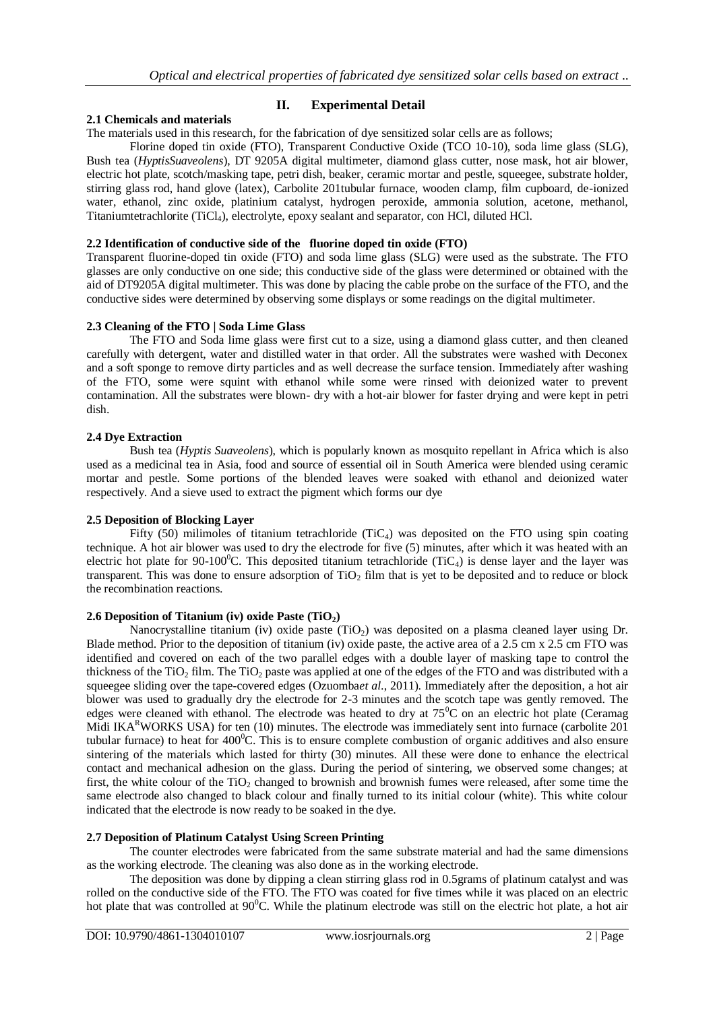# **II. Experimental Detail**

# **2.1 Chemicals and materials**

The materials used in this research, for the fabrication of dye sensitized solar cells are as follows;

Florine doped tin oxide (FTO), Transparent Conductive Oxide (TCO 10-10), soda lime glass (SLG), Bush tea (*HyptisSuaveolens*), DT 9205A digital multimeter, diamond glass cutter, nose mask, hot air blower, electric hot plate, scotch/masking tape, petri dish, beaker, ceramic mortar and pestle, squeegee, substrate holder, stirring glass rod, hand glove (latex), Carbolite 201tubular furnace, wooden clamp, film cupboard, de-ionized water, ethanol, zinc oxide, platinium catalyst, hydrogen peroxide, ammonia solution, acetone, methanol, Titaniumtetrachlorite (TiCl4), electrolyte, epoxy sealant and separator, con HCl, diluted HCl.

## **2.2 Identification of conductive side of the fluorine doped tin oxide (FTO)**

Transparent fluorine-doped tin oxide (FTO) and soda lime glass (SLG) were used as the substrate. The FTO glasses are only conductive on one side; this conductive side of the glass were determined or obtained with the aid of DT9205A digital multimeter. This was done by placing the cable probe on the surface of the FTO, and the conductive sides were determined by observing some displays or some readings on the digital multimeter.

## **2.3 Cleaning of the FTO | Soda Lime Glass**

The FTO and Soda lime glass were first cut to a size, using a diamond glass cutter, and then cleaned carefully with detergent, water and distilled water in that order. All the substrates were washed with Deconex and a soft sponge to remove dirty particles and as well decrease the surface tension. Immediately after washing of the FTO, some were squint with ethanol while some were rinsed with deionized water to prevent contamination. All the substrates were blown- dry with a hot-air blower for faster drying and were kept in petri dish.

## **2.4 Dye Extraction**

Bush tea (*Hyptis Suaveolens*), which is popularly known as mosquito repellant in Africa which is also used as a medicinal tea in Asia, food and source of essential oil in South America were blended using ceramic mortar and pestle. Some portions of the blended leaves were soaked with ethanol and deionized water respectively. And a sieve used to extract the pigment which forms our dye

## **2.5 Deposition of Blocking Layer**

Fifty (50) milimoles of titanium tetrachloride (TiC<sub>4</sub>) was deposited on the FTO using spin coating technique. A hot air blower was used to dry the electrode for five (5) minutes, after which it was heated with an electric hot plate for 90-100<sup>0</sup>C. This deposited titanium tetrachloride (TiC<sub>4</sub>) is dense layer and the layer was transparent. This was done to ensure adsorption of  $TiO<sub>2</sub>$  film that is yet to be deposited and to reduce or block the recombination reactions.

#### **2.6 Deposition of Titanium (iv) oxide Paste (TiO2)**

Nanocrystalline titanium (iv) oxide paste (TiO<sub>2</sub>) was deposited on a plasma cleaned layer using Dr. Blade method. Prior to the deposition of titanium (iv) oxide paste, the active area of a 2.5 cm x 2.5 cm FTO was identified and covered on each of the two parallel edges with a double layer of masking tape to control the thickness of the TiO<sup>2</sup> film. The TiO<sup>2</sup> paste was applied at one of the edges of the FTO and was distributed with a squeegee sliding over the tape-covered edges (Ozuomba*et al*., 2011). Immediately after the deposition, a hot air blower was used to gradually dry the electrode for 2-3 minutes and the scotch tape was gently removed. The edges were cleaned with ethanol. The electrode was heated to dry at 75<sup>0</sup>C on an electric hot plate (Ceramag Midi IKA<sup>R</sup>WORKS USA) for ten  $(10)$  minutes. The electrode was immediately sent into furnace (carbolite 201 tubular furnace) to heat for  $400^{\circ}$ C. This is to ensure complete combustion of organic additives and also ensure sintering of the materials which lasted for thirty (30) minutes. All these were done to enhance the electrical contact and mechanical adhesion on the glass. During the period of sintering, we observed some changes; at first, the white colour of the  $TiO<sub>2</sub>$  changed to brownish and brownish fumes were released, after some time the same electrode also changed to black colour and finally turned to its initial colour (white). This white colour indicated that the electrode is now ready to be soaked in the dye.

## **2.7 Deposition of Platinum Catalyst Using Screen Printing**

The counter electrodes were fabricated from the same substrate material and had the same dimensions as the working electrode. The cleaning was also done as in the working electrode.

The deposition was done by dipping a clean stirring glass rod in 0.5grams of platinum catalyst and was rolled on the conductive side of the FTO. The FTO was coated for five times while it was placed on an electric hot plate that was controlled at  $90^{\circ}$ C. While the platinum electrode was still on the electric hot plate, a hot air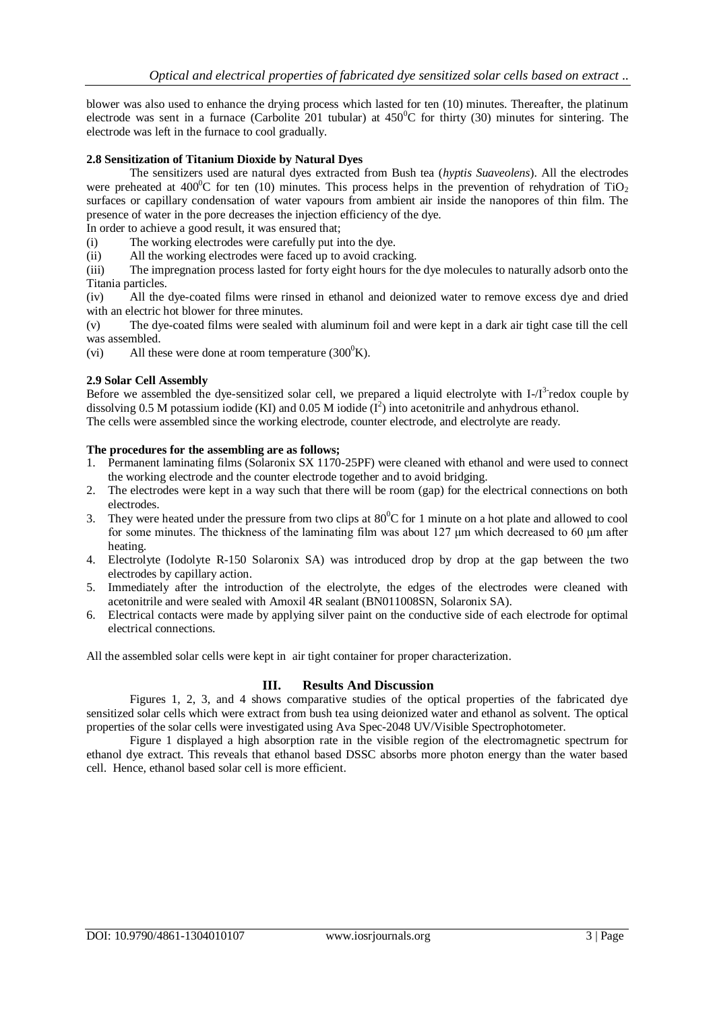blower was also used to enhance the drying process which lasted for ten (10) minutes. Thereafter, the platinum electrode was sent in a furnace (Carbolite 201 tubular) at  $450^{\circ}$ C for thirty (30) minutes for sintering. The electrode was left in the furnace to cool gradually.

## **2.8 Sensitization of Titanium Dioxide by Natural Dyes**

The sensitizers used are natural dyes extracted from Bush tea (*hyptis Suaveolens*). All the electrodes were preheated at 400<sup>o</sup>C for ten (10) minutes. This process helps in the prevention of rehydration of TiO<sub>2</sub> surfaces or capillary condensation of water vapours from ambient air inside the nanopores of thin film. The presence of water in the pore decreases the injection efficiency of the dye.

In order to achieve a good result, it was ensured that;

(i) The working electrodes were carefully put into the dye.

(ii) All the working electrodes were faced up to avoid cracking.

(iii) The impregnation process lasted for forty eight hours for the dye molecules to naturally adsorb onto the Titania particles.

(iv) All the dye-coated films were rinsed in ethanol and deionized water to remove excess dye and dried with an electric hot blower for three minutes.

(v) The dye-coated films were sealed with aluminum foil and were kept in a dark air tight case till the cell was assembled.

(vi) All these were done at room temperature  $(300^0K)$ .

#### **2.9 Solar Cell Assembly**

Before we assembled the dye-sensitized solar cell, we prepared a liquid electrolyte with  $I-I^3$  redox couple by dissolving 0.5 M potassium iodide (KI) and 0.05 M iodide  $(I^2)$  into acetonitrile and anhydrous ethanol. The cells were assembled since the working electrode, counter electrode, and electrolyte are ready.

#### **The procedures for the assembling are as follows;**

- 1. Permanent laminating films (Solaronix SX 1170-25PF) were cleaned with ethanol and were used to connect the working electrode and the counter electrode together and to avoid bridging.
- 2. The electrodes were kept in a way such that there will be room (gap) for the electrical connections on both electrodes.
- 3. They were heated under the pressure from two clips at  $80^{\circ}$ C for 1 minute on a hot plate and allowed to cool for some minutes. The thickness of the laminating film was about 127 μm which decreased to 60 μm after heating.
- 4. Electrolyte (Iodolyte R-150 Solaronix SA) was introduced drop by drop at the gap between the two electrodes by capillary action.
- 5. Immediately after the introduction of the electrolyte, the edges of the electrodes were cleaned with acetonitrile and were sealed with Amoxil 4R sealant (BN011008SN, Solaronix SA).
- 6. Electrical contacts were made by applying silver paint on the conductive side of each electrode for optimal electrical connections.

All the assembled solar cells were kept in air tight container for proper characterization.

# **III. Results And Discussion**

Figures 1, 2, 3, and 4 shows comparative studies of the optical properties of the fabricated dye sensitized solar cells which were extract from bush tea using deionized water and ethanol as solvent. The optical properties of the solar cells were investigated using Ava Spec-2048 UV/Visible Spectrophotometer*.*

Figure 1 displayed a high absorption rate in the visible region of the electromagnetic spectrum for ethanol dye extract. This reveals that ethanol based DSSC absorbs more photon energy than the water based cell. Hence, ethanol based solar cell is more efficient.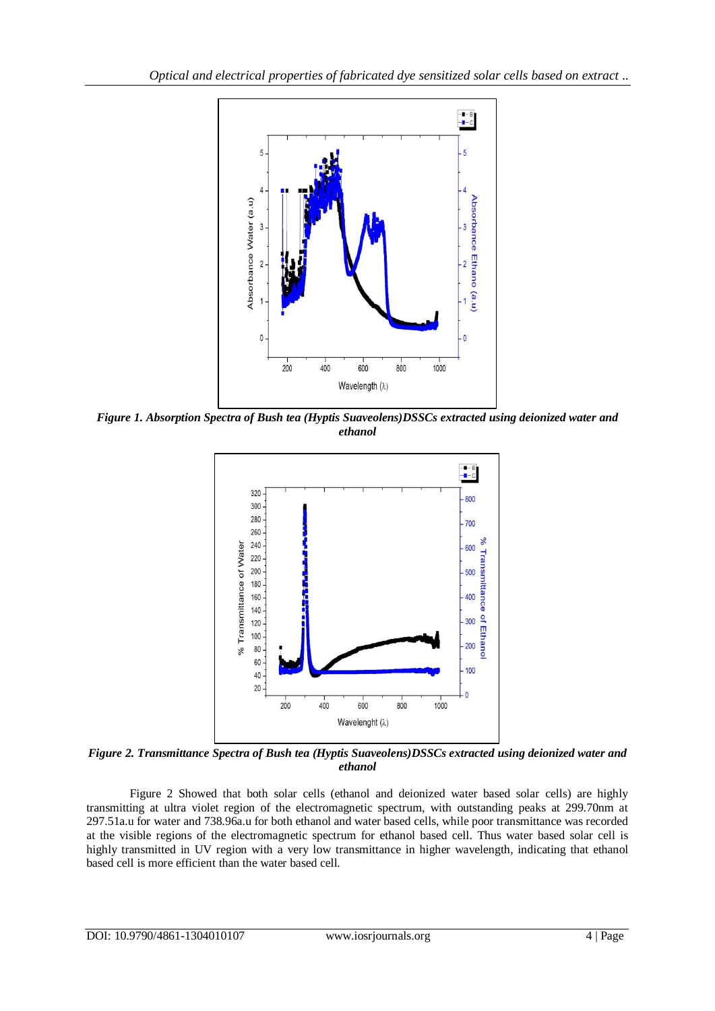

*Figure 1. Absorption Spectra of Bush tea (Hyptis Suaveolens)DSSCs extracted using deionized water and ethanol*



*Figure 2. Transmittance Spectra of Bush tea (Hyptis Suaveolens)DSSCs extracted using deionized water and ethanol*

Figure 2 Showed that both solar cells (ethanol and deionized water based solar cells) are highly transmitting at ultra violet region of the electromagnetic spectrum, with outstanding peaks at 299.70nm at 297.51a.u for water and 738.96a.u for both ethanol and water based cells, while poor transmittance was recorded at the visible regions of the electromagnetic spectrum for ethanol based cell. Thus water based solar cell is highly transmitted in UV region with a very low transmittance in higher wavelength, indicating that ethanol based cell is more efficient than the water based cell.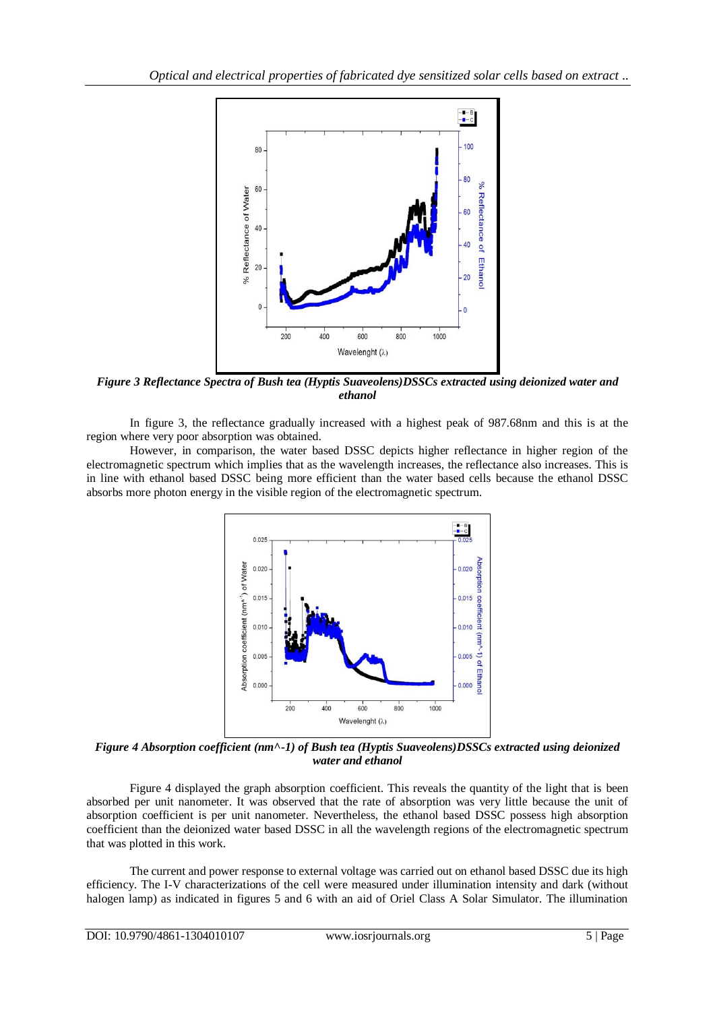

*Figure 3 Reflectance Spectra of Bush tea (Hyptis Suaveolens)DSSCs extracted using deionized water and ethanol*

In figure 3, the reflectance gradually increased with a highest peak of 987.68nm and this is at the region where very poor absorption was obtained.

However, in comparison, the water based DSSC depicts higher reflectance in higher region of the electromagnetic spectrum which implies that as the wavelength increases, the reflectance also increases. This is in line with ethanol based DSSC being more efficient than the water based cells because the ethanol DSSC absorbs more photon energy in the visible region of the electromagnetic spectrum.



*Figure 4 Absorption coefficient (nm^-1) of Bush tea (Hyptis Suaveolens)DSSCs extracted using deionized water and ethanol*

Figure 4 displayed the graph absorption coefficient. This reveals the quantity of the light that is been absorbed per unit nanometer. It was observed that the rate of absorption was very little because the unit of absorption coefficient is per unit nanometer. Nevertheless, the ethanol based DSSC possess high absorption coefficient than the deionized water based DSSC in all the wavelength regions of the electromagnetic spectrum that was plotted in this work.

The current and power response to external voltage was carried out on ethanol based DSSC due its high efficiency. The I-V characterizations of the cell were measured under illumination intensity and dark (without halogen lamp) as indicated in figures 5 and 6 with an aid of Oriel Class A Solar Simulator. The illumination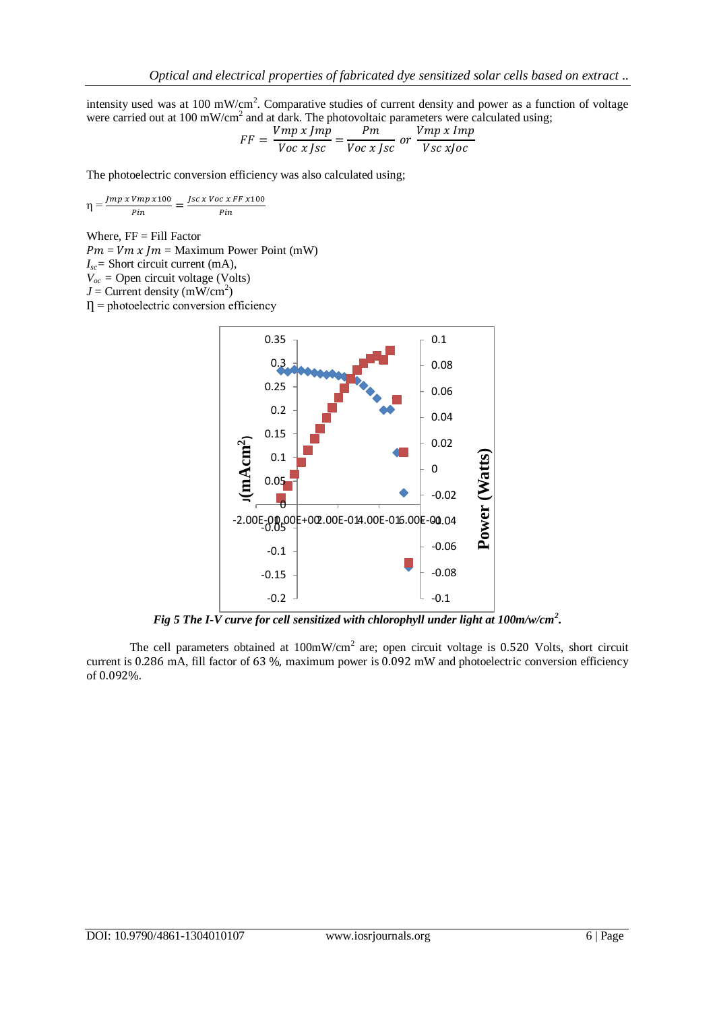intensity used was at 100 mW/cm<sup>2</sup>. Comparative studies of current density and power as a function of voltage were carried out at 100 mW/cm<sup>2</sup> and at dark. The photovoltaic parameters were calculated using;

$$
FF = \frac{Vmp \; x \; Jmp}{Voc \; x \; Jsc} = \frac{Pm}{Voc \; x \; Jsc} \; or \; \frac{Vmp \; x \; Imp}{Vsc \; xJoc}
$$

The photoelectric conversion efficiency was also calculated using;

$$
\eta = \frac{Jmp \; x \; Vmp \; x100}{Pin} = \frac{Jsc \; x \; Voc \; x \; FF \; x100}{Pin}
$$

Where,  $FF = Fill Factor$  $Pm = Vm x$  *Im* = Maximum Power Point (mW) *Isc=* Short circuit current (mA),  $V_{oc}$  = Open circuit voltage (Volts)  $J =$  Current density (mW/cm<sup>2</sup>)  $\eta$  = photoelectric conversion efficiency



*Fig 5 The I-V curve for cell sensitized with chlorophyll under light at 100m/w/cm<sup>2</sup> .*

The cell parameters obtained at  $100 \text{mW/cm}^2$  are; open circuit voltage is 0.520 Volts, short circuit current is 0.286 mA, fill factor of 63 %, maximum power is 0.092 mW and photoelectric conversion efficiency of 0.092%.